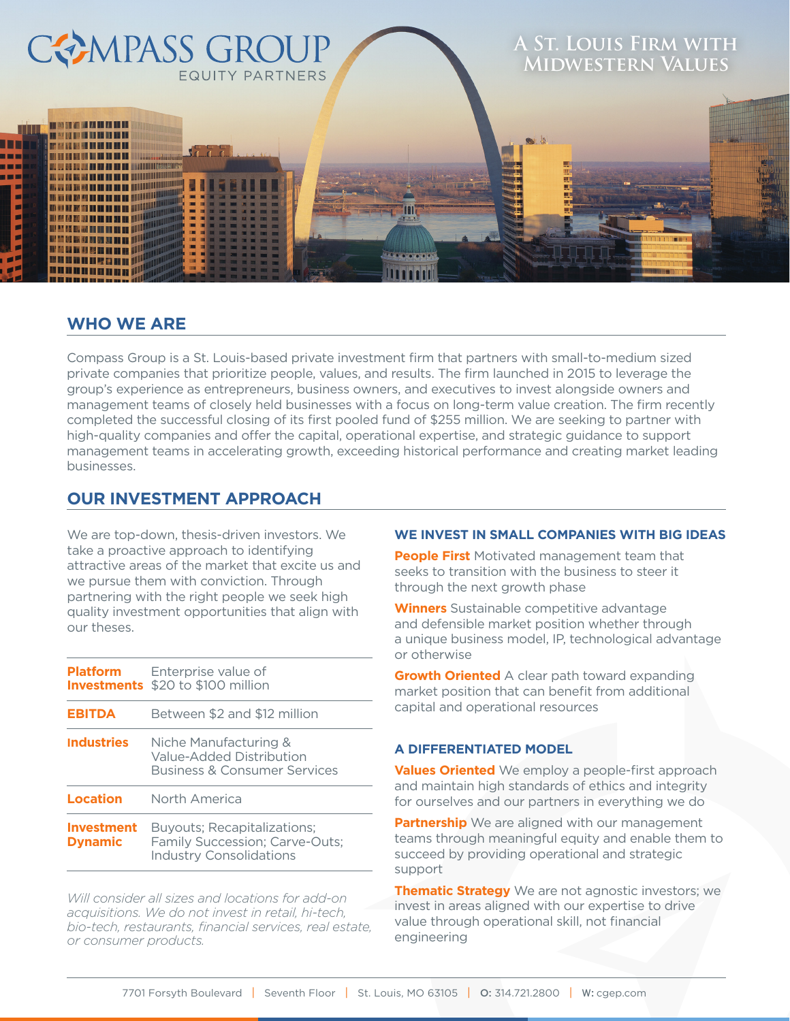

## **WHO WE ARE**

Compass Group is a St. Louis-based private investment firm that partners with small-to-medium sized private companies that prioritize people, values, and results. The firm launched in 2015 to leverage the group's experience as entrepreneurs, business owners, and executives to invest alongside owners and management teams of closely held businesses with a focus on long-term value creation. The firm recently completed the successful closing of its first pooled fund of \$255 million. We are seeking to partner with high-quality companies and offer the capital, operational expertise, and strategic guidance to support management teams in accelerating growth, exceeding historical performance and creating market leading businesses.

## **OUR INVESTMENT APPROACH**

We are top-down, thesis-driven investors. We take a proactive approach to identifying attractive areas of the market that excite us and we pursue them with conviction. Through partnering with the right people we seek high quality investment opportunities that align with our theses.

| <b>Platform</b>                     | Enterprise value of<br><b>Investments</b> \$20 to \$100 million                                        |  |  |  |
|-------------------------------------|--------------------------------------------------------------------------------------------------------|--|--|--|
| <b>EBITDA</b>                       | Between \$2 and \$12 million                                                                           |  |  |  |
| <b>Industries</b>                   | Niche Manufacturing &<br>Value-Added Distribution<br><b>Business &amp; Consumer Services</b>           |  |  |  |
| Location                            | North America                                                                                          |  |  |  |
| <b>Investment</b><br><b>Dynamic</b> | <b>Buyouts: Recapitalizations:</b><br>Family Succession; Carve-Outs;<br><b>Industry Consolidations</b> |  |  |  |

*Will consider all sizes and locations for add-on acquisitions. We do not invest in retail, hi-tech, bio-tech, restaurants, financial services, real estate, or consumer products.*

#### **WE INVEST IN SMALL COMPANIES WITH BIG IDEAS**

**People First** Motivated management team that seeks to transition with the business to steer it through the next growth phase

**Winners** Sustainable competitive advantage and defensible market position whether through a unique business model, IP, technological advantage or otherwise

**Growth Oriented** A clear path toward expanding market position that can benefit from additional capital and operational resources

#### **A DIFFERENTIATED MODEL**

**Values Oriented** We employ a people-first approach and maintain high standards of ethics and integrity for ourselves and our partners in everything we do

**Partnership** We are aligned with our management teams through meaningful equity and enable them to succeed by providing operational and strategic support

**Thematic Strategy** We are not agnostic investors; we invest in areas aligned with our expertise to drive value through operational skill, not financial engineering